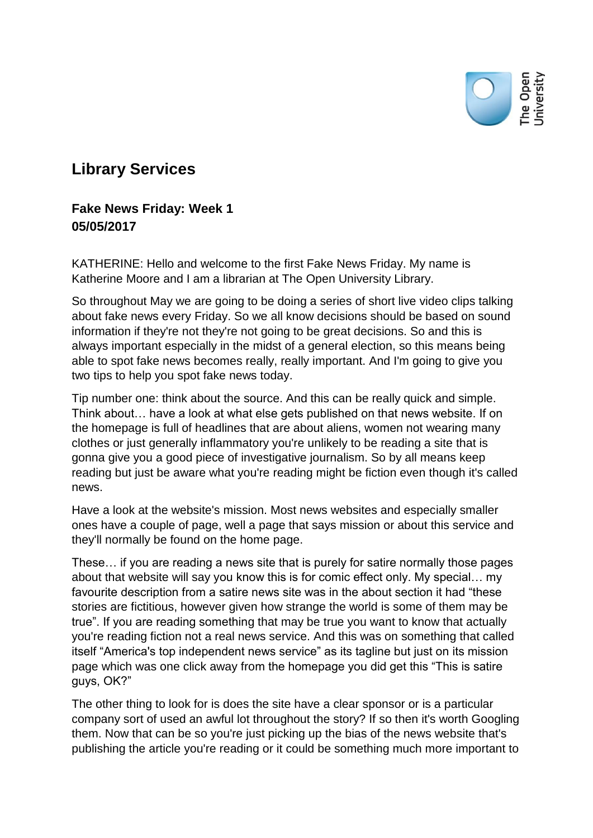

## **Library Services**

## **Fake News Friday: Week 1 05/05/2017**

KATHERINE: Hello and welcome to the first Fake News Friday. My name is Katherine Moore and I am a librarian at The Open University Library.

So throughout May we are going to be doing a series of short live video clips talking about fake news every Friday. So we all know decisions should be based on sound information if they're not they're not going to be great decisions. So and this is always important especially in the midst of a general election, so this means being able to spot fake news becomes really, really important. And I'm going to give you two tips to help you spot fake news today.

Tip number one: think about the source. And this can be really quick and simple. Think about… have a look at what else gets published on that news website. If on the homepage is full of headlines that are about aliens, women not wearing many clothes or just generally inflammatory you're unlikely to be reading a site that is gonna give you a good piece of investigative journalism. So by all means keep reading but just be aware what you're reading might be fiction even though it's called news.

Have a look at the website's mission. Most news websites and especially smaller ones have a couple of page, well a page that says mission or about this service and they'll normally be found on the home page.

These… if you are reading a news site that is purely for satire normally those pages about that website will say you know this is for comic effect only. My special… my favourite description from a satire news site was in the about section it had "these stories are fictitious, however given how strange the world is some of them may be true". If you are reading something that may be true you want to know that actually you're reading fiction not a real news service. And this was on something that called itself "America's top independent news service" as its tagline but just on its mission page which was one click away from the homepage you did get this "This is satire guys, OK?"

The other thing to look for is does the site have a clear sponsor or is a particular company sort of used an awful lot throughout the story? If so then it's worth Googling them. Now that can be so you're just picking up the bias of the news website that's publishing the article you're reading or it could be something much more important to